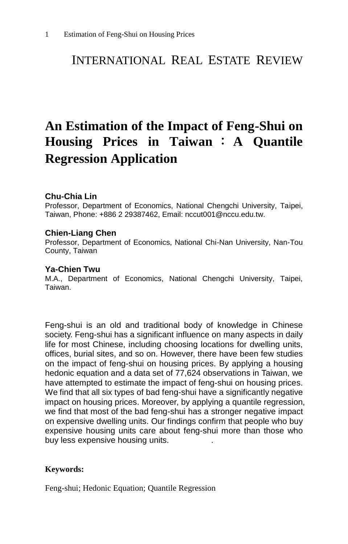## INTERNATIONAL REAL ESTATE REVIEW

# **An Estimation of the Impact of Feng-Shui on Housing Prices in Taiwan** : **A Quantile Regression Application**

#### **Chu-Chia Lin**

Professor, Department of Economics, National Chengchi University, Taipei, Taiwan, Phone: +886 2 29387462, Email: nccut001@nccu.edu.tw.

#### **Chien-Liang Chen**

Professor, Department of Economics, National Chi-Nan University, Nan-Tou County, Taiwan

#### **Ya-Chien Twu**

M.A., Department of Economics, National Chengchi University, Taipei, Taiwan.

Feng-shui is an old and traditional body of knowledge in Chinese society. Feng-shui has a significant influence on many aspects in daily life for most Chinese, including choosing locations for dwelling units, offices, burial sites, and so on. However, there have been few studies on the impact of feng-shui on housing prices. By applying a housing hedonic equation and a data set of 77,624 observations in Taiwan, we have attempted to estimate the impact of feng-shui on housing prices. We find that all six types of bad feng-shui have a significantly negative impact on housing prices. Moreover, by applying a quantile regression, we find that most of the bad feng-shui has a stronger negative impact on expensive dwelling units. Our findings confirm that people who buy expensive housing units care about feng-shui more than those who buy less expensive housing units.

#### **Keywords:**

Feng-shui; Hedonic Equation; Quantile Regression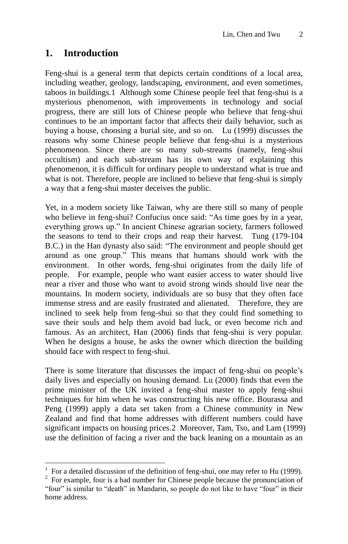## **1. Introduction**

 $\overline{\phantom{a}}$ 

Feng-shui is a general term that depicts certain conditions of a local area, including weather, geology, landscaping, environment, and even sometimes, taboos in buildings.1 Although some Chinese people feel that feng-shui is a mysterious phenomenon, with improvements in technology and social progress, there are still lots of Chinese people who believe that feng-shui continues to be an important factor that affects their daily behavior, such as buying a house, choosing a burial site, and so on. Lu (1999) discusses the reasons why some Chinese people believe that feng-shui is a mysterious phenomenon. Since there are so many sub-streams (namely, feng-shui occultism) and each sub-stream has its own way of explaining this phenomenon, it is difficult for ordinary people to understand what is true and what is not. Therefore, people are inclined to believe that feng-shui is simply a way that a feng-shui master deceives the public.

Yet, in a modern society like Taiwan, why are there still so many of people who believe in feng-shui? Confucius once said: "As time goes by in a year, everything grows up." In ancient Chinese agrarian society, farmers followed the seasons to tend to their crops and reap their harvest. Tung (179-104 B.C.) in the Han dynasty also said: "The environment and people should get around as one group." This means that humans should work with the environment. In other words, feng-shui originates from the daily life of people. For example, people who want easier access to water should live near a river and those who want to avoid strong winds should live near the mountains. In modern society, individuals are so busy that they often face immense stress and are easily frustrated and alienated. Therefore, they are inclined to seek help from feng-shui so that they could find something to save their souls and help them avoid bad luck, or even become rich and famous. As an architect, Han (2006) finds that feng-shui is very popular. When he designs a house, he asks the owner which direction the building should face with respect to feng-shui.

There is some literature that discusses the impact of feng-shui on people's daily lives and especially on housing demand. Lu (2000) finds that even the prime minister of the UK invited a feng-shui master to apply feng-shui techniques for him when he was constructing his new office. Bourassa and Peng (1999) apply a data set taken from a Chinese community in New Zealand and find that home addresses with different numbers could have significant impacts on housing prices.2 Moreover, Tam, Tso, and Lam (1999) use the definition of facing a river and the back leaning on a mountain as an

<sup>1</sup> For a detailed discussion of the definition of feng-shui, one may refer to Hu (1999).

 $2^2$  For example, four is a bad number for Chinese people because the pronunciation of "four" is similar to "death" in Mandarin, so people do not like to have "four" in their home address.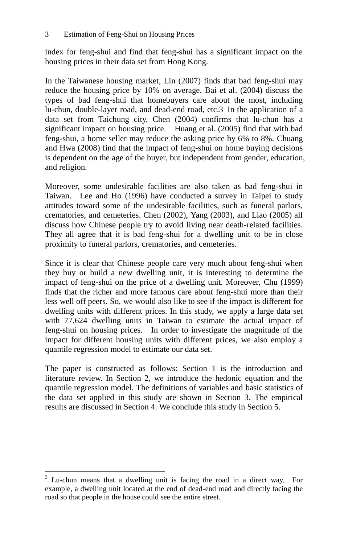index for feng-shui and find that feng-shui has a significant impact on the housing prices in their data set from Hong Kong.

In the Taiwanese housing market, Lin (2007) finds that bad feng-shui may reduce the housing price by 10% on average. Bai et al. (2004) discuss the types of bad feng-shui that homebuyers care about the most, including lu-chun, double-layer road, and dead-end road, etc.3 In the application of a data set from Taichung city, Chen (2004) confirms that lu-chun has a significant impact on housing price. Huang et al. (2005) find that with bad feng-shui, a home seller may reduce the asking price by 6% to 8%. Chuang and Hwa (2008) find that the impact of feng-shui on home buying decisions is dependent on the age of the buyer, but independent from gender, education, and religion.

Moreover, some undesirable facilities are also taken as bad feng-shui in Taiwan. Lee and Ho (1996) have conducted a survey in Taipei to study attitudes toward some of the undesirable facilities, such as funeral parlors, crematories, and cemeteries. Chen (2002), Yang (2003), and Liao (2005) all discuss how Chinese people try to avoid living near death-related facilities. They all agree that it is bad feng-shui for a dwelling unit to be in close proximity to funeral parlors, crematories, and cemeteries.

Since it is clear that Chinese people care very much about feng-shui when they buy or build a new dwelling unit, it is interesting to determine the impact of feng-shui on the price of a dwelling unit. Moreover, Chu (1999) finds that the richer and more famous care about feng-shui more than their less well off peers. So, we would also like to see if the impact is different for dwelling units with different prices. In this study, we apply a large data set with 77,624 dwelling units in Taiwan to estimate the actual impact of feng-shui on housing prices. In order to investigate the magnitude of the impact for different housing units with different prices, we also employ a quantile regression model to estimate our data set.

The paper is constructed as follows: Section 1 is the introduction and literature review. In Section 2, we introduce the hedonic equation and the quantile regression model. The definitions of variables and basic statistics of the data set applied in this study are shown in Section 3. The empirical results are discussed in Section 4. We conclude this study in Section 5.

 $\overline{a}$ 

 $3$  Lu-chun means that a dwelling unit is facing the road in a direct way. For example, a dwelling unit located at the end of dead-end road and directly facing the road so that people in the house could see the entire street.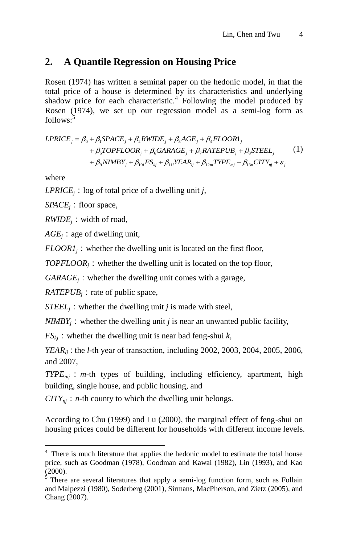## **2. A Quantile Regression on Housing Price**

Rosen (1974) has written a seminal paper on the hedonic model, in that the total price of a house is determined by its characteristics and underlying shadow price for each characteristic.<sup>4</sup> Following the model produced by Rosen (1974), we set up our regression model as a semi-log form as<br> *follows*:<sup>5</sup><br> *LPRICE*<sub>*s*</sub> =  $\beta_0 + \beta_1 SPACE_j + \beta_2 RVIDE_j + \beta_3 AGE_j + \beta_4 FLOOR1_j$ <br> *A TORES CORP AGE FLOOR A CALIFORER AGE FLOOR* follows: 5

(1) Chang (2007).0 1 2 3 4 5 6 7 8 9 10 11 12 13 *j j j j j* <sup>1</sup> *j j j j j i kj l lj m mj n nj j TOPFLOOR GARAGE RATEPUB STEEL NIMBY FS YEAR TYPE CITY* 

where

 $\overline{\phantom{a}}$ 

*LPRICE<sub>i</sub>*: log of total price of a dwelling unit *j*,

*SPACE<sub>i</sub>*: floor space,

 $RWIDE_i$ : width of road,

 $AGE<sub>i</sub>$ : age of dwelling unit,

 $FLOOR1<sub>i</sub>$ : whether the dwelling unit is located on the first floor,

 $TOPFLOOR<sub>i</sub>$ : whether the dwelling unit is located on the top floor,

 $GARAGE<sub>i</sub>$ : whether the dwelling unit comes with a garage,

 $RATEPUB<sub>i</sub>$ : rate of public space,

*STEEL<sub>i</sub>*: whether the dwelling unit *j* is made with steel,

 $NIMBY<sub>i</sub>$ : whether the dwelling unit *j* is near an unwanted public facility,

 $FS_{ki}$ : whether the dwelling unit is near bad feng-shui  $k$ ,

*YEAR*<sub>*lj*</sub>: the *l*-th year of transaction, including 2002, 2003, 2004, 2005, 2006, and 2007,

*TYPEmj*:*m*-th types of building, including efficiency, apartment, high building, single house, and public housing, and

 $CITY_{ni}: n$ -th county to which the dwelling unit belongs.

According to Chu (1999) and Lu (2000), the marginal effect of feng-shui on housing prices could be different for households with different income levels.

<sup>&</sup>lt;sup>4</sup> There is much literature that applies the hedonic model to estimate the total house price, such as Goodman (1978), Goodman and Kawai (1982), Lin (1993), and Kao (2000).

<sup>&</sup>lt;sup>5</sup> There are several literatures that apply a semi-log function form, such as Follain and Malpezzi (1980), Soderberg (2001), Sirmans, MacPherson, and Zietz (2005), and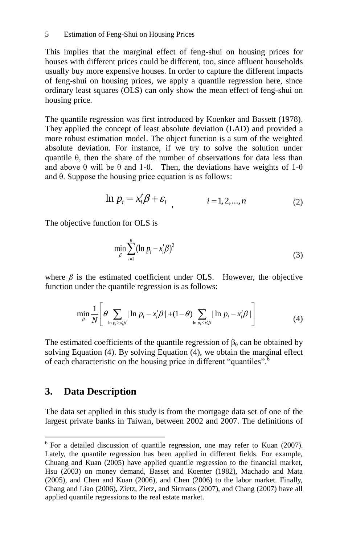This implies that the marginal effect of feng-shui on housing prices for houses with different prices could be different, too, since affluent households usually buy more expensive houses. In order to capture the different impacts of feng-shui on housing prices, we apply a quantile regression here, since ordinary least squares (OLS) can only show the mean effect of feng-shui on housing price.

The quantile regression was first introduced by Koenker and Bassett (1978). They applied the concept of least absolute deviation (LAD) and provided a more robust estimation model. The object function is a sum of the weighted absolute deviation. For instance, if we try to solve the solution under quantile θ, then the share of the number of observations for data less than and above  $\theta$  will be  $\theta$  and 1- $\theta$ . Then, the deviations have weights of 1- $\theta$ and θ. Suppose the housing price equation is as follows:

$$
\ln p_i = x_i' \beta + \varepsilon_i \qquad i = 1, 2, ..., n \tag{2}
$$

The objective function for OLS is

$$
\min_{\beta} \sum_{i=1}^{n} (\ln p_i - x'_i \beta)^2
$$
 (3)

where  $\beta$  is the estimated coefficient under OLS. However, the objective

function under the quantile regression is as follows:  
\n
$$
\min_{\beta} \frac{1}{N} \left[ \theta \sum_{\ln p_i \ge x'_i \beta} |\ln p_i - x'_i \beta| + (1 - \theta) \sum_{\ln p_i \le x'_i \beta} |\ln p_i - x'_i \beta| \right]
$$
\n(4)

The estimated coefficients of the quantile regression of  $\beta_\theta$  can be obtained by solving Equation (4). By solving Equation (4), we obtain the marginal effect of each characteristic on the housing price in different "quantiles".<sup>6</sup>

## **3. Data Description**

 $\overline{\phantom{a}}$ 

The data set applied in this study is from the mortgage data set of one of the largest private banks in Taiwan, between 2002 and 2007. The definitions of

 $6$  For a detailed discussion of quantile regression, one may refer to Kuan (2007). Lately, the quantile regression has been applied in different fields. For example, Chuang and Kuan (2005) have applied quantile regression to the financial market, Hsu (2003) on money demand, Basset and Koenter (1982), Machado and Mata (2005), and Chen and Kuan (2006), and Chen (2006) to the labor market. Finally, Chang and Liao (2006), Zietz, Zietz, and Sirmans (2007), and Chang (2007) have all applied quantile regressions to the real estate market.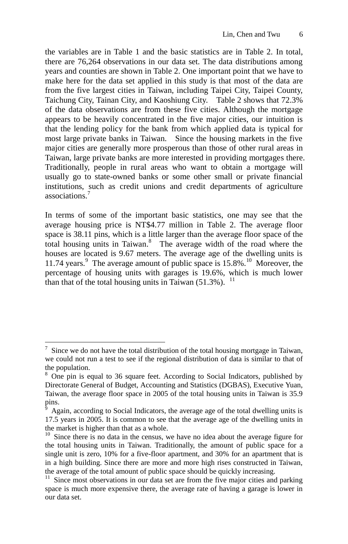the variables are in Table 1 and the basic statistics are in Table 2. In total, there are 76,264 observations in our data set. The data distributions among years and counties are shown in Table 2. One important point that we have to make here for the data set applied in this study is that most of the data are from the five largest cities in Taiwan, including Taipei City, Taipei County, Taichung City, Tainan City, and Kaoshiung City. Table 2 shows that 72.3% of the data observations are from these five cities. Although the mortgage appears to be heavily concentrated in the five major cities, our intuition is that the lending policy for the bank from which applied data is typical for most large private banks in Taiwan. Since the housing markets in the five major cities are generally more prosperous than those of other rural areas in Taiwan, large private banks are more interested in providing mortgages there. Traditionally, people in rural areas who want to obtain a mortgage will usually go to state-owned banks or some other small or private financial institutions, such as credit unions and credit departments of agriculture associations.<sup>7</sup>

In terms of some of the important basic statistics, one may see that the average housing price is NT\$4.77 million in Table 2. The average floor space is 38.11 pins, which is a little larger than the average floor space of the total housing units in Taiwan.<sup>8</sup> The average width of the road where the houses are located is 9.67 meters. The average age of the dwelling units is 11.74 years.<sup>9</sup> The average amount of public space is  $15.8\%$ .<sup>10</sup> Moreover, the percentage of housing units with garages is 19.6%, which is much lower than that of the total housing units in Taiwan  $(51.3\%)$ . <sup>11</sup>

 $\overline{a}$ 

<sup>7</sup> Since we do not have the total distribution of the total housing mortgage in Taiwan, we could not run a test to see if the regional distribution of data is similar to that of the population.

<sup>&</sup>lt;sup>8</sup> One pin is equal to 36 square feet. According to Social Indicators, published by Directorate General of Budget, Accounting and Statistics (DGBAS), Executive Yuan, Taiwan, the average floor space in 2005 of the total housing units in Taiwan is 35.9 pins.

<sup>9</sup> Again, according to Social Indicators, the average age of the total dwelling units is 17.5 years in 2005. It is common to see that the average age of the dwelling units in the market is higher than that as a whole.

 $10<sup>10</sup>$  Since there is no data in the census, we have no idea about the average figure for the total housing units in Taiwan. Traditionally, the amount of public space for a single unit is zero, 10% for a five-floor apartment, and 30% for an apartment that is in a high building. Since there are more and more high rises constructed in Taiwan, the average of the total amount of public space should be quickly increasing.

 $11$  Since most observations in our data set are from the five major cities and parking space is much more expensive there, the average rate of having a garage is lower in our data set.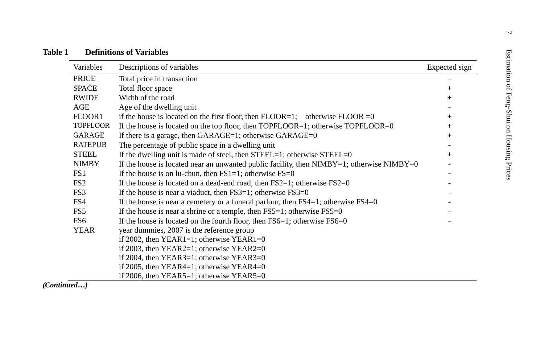| Variables       | Descriptions of variables                                                                      | Expected sign |
|-----------------|------------------------------------------------------------------------------------------------|---------------|
| <b>PRICE</b>    | Total price in transaction                                                                     |               |
| <b>SPACE</b>    | Total floor space                                                                              | $+$           |
| <b>RWIDE</b>    | Width of the road                                                                              | $+$           |
| AGE             | Age of the dwelling unit                                                                       |               |
| FLOOR1          | if the house is located on the first floor, then $FLOOR=1$ ; otherwise $FLOOR=0$               | $+$           |
| <b>TOPFLOOR</b> | If the house is located on the top floor, then $TOPFLOOR=1$ ; otherwise $TOPFLOOR=0$           | $+$           |
| <b>GARAGE</b>   | If there is a garage, then $GARAGE=1$ ; otherwise $GARAGE=0$                                   | $^{+}$        |
| <b>RATEPUB</b>  | The percentage of public space in a dwelling unit                                              |               |
| <b>STEEL</b>    | If the dwelling unit is made of steel, then $STEEL=1$ ; otherwise $STEEL=0$                    | $^{+}$        |
| <b>NIMBY</b>    | If the house is located near an unwanted public facility, then $NIMBY=1$ ; otherwise $NIMBY=0$ |               |
| FS1             | If the house is on lu-chun, then $FS1=1$ ; otherwise $FS=0$                                    |               |
| FS <sub>2</sub> | If the house is located on a dead-end road, then $FS2=1$ ; otherwise $FS2=0$                   |               |
| FS3             | If the house is near a viaduct, then $FS3=1$ ; otherwise $FS3=0$                               |               |
| FS4             | If the house is near a cemetery or a funeral parlour, then $FS4=1$ ; otherwise $FS4=0$         |               |
| FS5             | If the house is near a shrine or a temple, then $FS5=1$ ; otherwise $FS5=0$                    |               |
| FS6             | If the house is located on the fourth floor, then $FS6=1$ ; otherwise $FS6=0$                  |               |
| <b>YEAR</b>     | year dummies, 2007 is the reference group                                                      |               |
|                 | if 2002, then $YEAR1=1$ ; otherwise $YEAR1=0$                                                  |               |
|                 | if 2003, then $YEAR2=1$ ; otherwise $YEAR2=0$                                                  |               |
|                 | if 2004, then $YEAR3=1$ ; otherwise $YEAR3=0$                                                  |               |
|                 | if 2005, then YEAR4=1; otherwise YEAR4=0                                                       |               |
|                 | if 2006, then $YEAR5=1$ ; otherwise $YEAR5=0$                                                  |               |

*(Continued…)*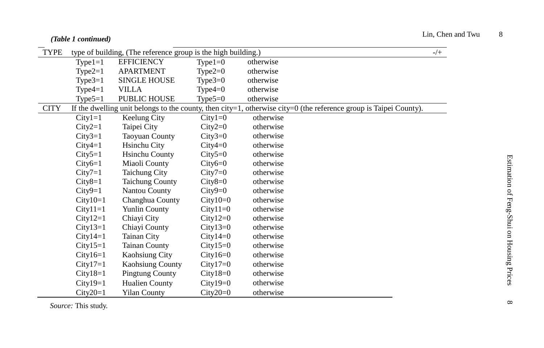#### *(Table 1 continued)*

| <b>TYPE</b> |            | type of building, (The reference group is the high building.) |            |                                                                                                                        | $-/+$ |
|-------------|------------|---------------------------------------------------------------|------------|------------------------------------------------------------------------------------------------------------------------|-------|
|             | $Type1=1$  | <b>EFFICIENCY</b>                                             | $Type1=0$  | otherwise                                                                                                              |       |
|             | Type $2=1$ | <b>APARTMENT</b>                                              | Type $2=0$ | otherwise                                                                                                              |       |
|             | Type $3=1$ | <b>SINGLE HOUSE</b>                                           | Type $3=0$ | otherwise                                                                                                              |       |
|             | Type $4=1$ | <b>VILLA</b>                                                  | Type $4=0$ | otherwise                                                                                                              |       |
|             | Type $5=1$ | <b>PUBLIC HOUSE</b>                                           | Type $5=0$ | otherwise                                                                                                              |       |
| <b>CITY</b> |            |                                                               |            | If the dwelling unit belongs to the county, then $city=1$ , otherwise $city=0$ (the reference group is Taipei County). |       |
|             | $City1=1$  | Keelung City                                                  | $City1=0$  | otherwise                                                                                                              |       |
|             | $City2=1$  | Taipei City                                                   | $City2=0$  | otherwise                                                                                                              |       |
|             | $City3=1$  | <b>Taoyuan County</b>                                         | $City3=0$  | otherwise                                                                                                              |       |
|             | $City4=1$  | Hsinchu City                                                  | $City4=0$  | otherwise                                                                                                              |       |
|             | $City5=1$  | <b>Hsinchu County</b>                                         | $City5=0$  | otherwise                                                                                                              |       |
|             | $City6=1$  | Miaoli County                                                 | $City6=0$  | otherwise                                                                                                              |       |
|             | $City7=1$  | <b>Taichung City</b>                                          | $City7=0$  | otherwise                                                                                                              |       |
|             | $City8=1$  | <b>Taichung County</b>                                        | $City8=0$  | otherwise                                                                                                              |       |
|             | $City9=1$  | Nantou County                                                 | $City9=0$  | otherwise                                                                                                              |       |
|             | $City10=1$ | Changhua County                                               | $City10=0$ | otherwise                                                                                                              |       |
|             | $City11=1$ | <b>Yunlin County</b>                                          | $City11=0$ | otherwise                                                                                                              |       |
|             | $City12=1$ | Chiayi City                                                   | $City12=0$ | otherwise                                                                                                              |       |
|             | $City13=1$ | Chiayi County                                                 | $City13=0$ | otherwise                                                                                                              |       |
|             | $City14=1$ | Tainan City                                                   | $City14=0$ | otherwise                                                                                                              |       |
|             | $City15=1$ | <b>Tainan County</b>                                          | $City15=0$ | otherwise                                                                                                              |       |
|             | $City16=1$ | Kaohsiung City                                                | $City16=0$ | otherwise                                                                                                              |       |
|             | $City17=1$ | <b>Kaohsiung County</b>                                       | $City17=0$ | otherwise                                                                                                              |       |
|             | $City18=1$ | <b>Pingtung County</b>                                        | $City18=0$ | otherwise                                                                                                              |       |
|             | $City19=1$ | Hualien County                                                | $City19=0$ | otherwise                                                                                                              |       |
|             | $City20=1$ | <b>Yilan County</b>                                           | $City20=0$ | otherwise                                                                                                              |       |

*Source:* This study.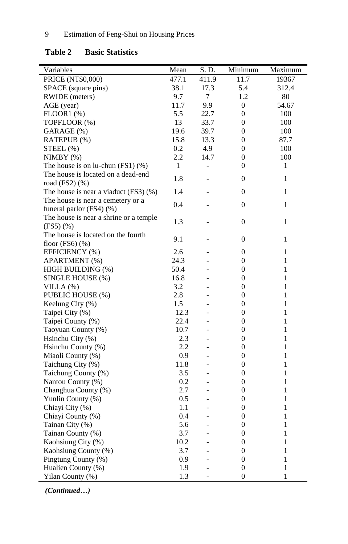| Variables                              | Mean  | S.D.                     | Minimum          | Maximum      |
|----------------------------------------|-------|--------------------------|------------------|--------------|
| PRICE (NT\$0,000)                      | 477.1 | 411.9                    | 11.7             | 19367        |
| SPACE (square pins)                    | 38.1  | 17.3                     | 5.4              | 312.4        |
| RWIDE (meters)                         | 9.7   | 7                        | 1.2              | 80           |
| AGE (year)                             | 11.7  | 9.9                      | $\overline{0}$   | 54.67        |
| $FLOOR1$ $(\%)$                        | 5.5   | 22.7                     | $\overline{0}$   | 100          |
| TOPFLOOR (%)                           | 13    | 33.7                     | $\overline{0}$   | 100          |
| GARAGE (%)                             | 19.6  | 39.7                     | $\mathbf{0}$     | 100          |
| RATEPUB (%)                            | 15.8  | 13.3                     | $\boldsymbol{0}$ | 87.7         |
| $STEEL(\%)$                            | 0.2   | 4.9                      | $\boldsymbol{0}$ | 100          |
| NIMBY(%)                               | 2.2   | 14.7                     | $\boldsymbol{0}$ | 100          |
| The house is on lu-chun $(FS1)(\%)$    | 1     | $\overline{\phantom{0}}$ | $\Omega$         | 1            |
| The house is located on a dead-end     |       |                          |                  |              |
| road (FS2) (%)                         | 1.8   |                          | $\mathbf{0}$     | 1            |
| The house is near a viaduct (FS3) (%)  | 1.4   |                          | $\mathbf{0}$     | 1            |
| The house is near a cemetery or a      |       |                          |                  |              |
| funeral parlor $(FS4)$ $(\%)$          | 0.4   | $\overline{a}$           | $\boldsymbol{0}$ | 1            |
| The house is near a shrine or a temple |       |                          |                  |              |
| (FS5)(%                                | 1.3   | $\overline{a}$           | $\overline{0}$   | $\mathbf{1}$ |
| The house is located on the fourth     |       |                          |                  |              |
| floor $(FS6)$ $(\%)$                   | 9.1   |                          | $\boldsymbol{0}$ | 1            |
| EFFICIENCY (%)                         | 2.6   | $\overline{a}$           | $\boldsymbol{0}$ | 1            |
| APARTMENT (%)                          | 24.3  | $\overline{a}$           | $\boldsymbol{0}$ | 1            |
| HIGH BUILDING (%)                      | 50.4  | $\overline{a}$           | $\overline{0}$   | 1            |
| SINGLE HOUSE (%)                       | 16.8  | $\overline{a}$           | $\overline{0}$   | $\mathbf{1}$ |
| VILLA $(%)$                            | 3.2   | $\overline{a}$           | $\mathbf{0}$     | 1            |
| PUBLIC HOUSE (%)                       | 2.8   | $\overline{a}$           | $\boldsymbol{0}$ | 1            |
| Keelung City $(\% )$                   | 1.5   |                          | $\mathbf{0}$     | 1            |
| Taipei City (%)                        | 12.3  |                          | $\overline{0}$   | 1            |
| Taipei County (%)                      | 22.4  | $\overline{a}$           | $\overline{0}$   | 1            |
| Taoyuan County (%)                     | 10.7  | $\overline{a}$           | $\boldsymbol{0}$ | $\mathbf{1}$ |
| Hsinchu City (%)                       | 2.3   | $\overline{a}$           | $\boldsymbol{0}$ | 1            |
| Hsinchu County (%)                     | 2.2   | $\overline{a}$           | $\boldsymbol{0}$ | 1            |
| Miaoli County (%)                      | 0.9   | $\overline{a}$           | $\mathbf{0}$     | 1            |
| Taichung City (%)                      | 11.8  | $\overline{a}$           | $\overline{0}$   | 1            |
| Taichung County (%)                    | 3.5   | $\overline{a}$           | $\mathbf{0}$     | 1            |
| Nantou County (%)                      | 0.2   | $\overline{a}$           | $\boldsymbol{0}$ | 1            |
| Changhua County (%)                    | 2.7   | $\overline{a}$           | $\boldsymbol{0}$ | 1            |
| Yunlin County (%)                      | 0.5   | $\overline{\phantom{0}}$ | $\mathbf{0}$     | 1            |
| Chiayi City (%)                        | 1.1   | $\overline{a}$           | $\boldsymbol{0}$ | 1            |
| Chiayi County (%)                      | 0.4   | $\overline{a}$           | $\boldsymbol{0}$ | 1            |
| Tainan City (%)                        | 5.6   | $\overline{a}$           | $\boldsymbol{0}$ | 1            |
| Tainan County (%)                      | 3.7   | $\overline{a}$           | $\boldsymbol{0}$ | 1            |
| Kaohsiung City (%)                     | 10.2  | $\overline{a}$           | $\boldsymbol{0}$ | 1            |
| Kaohsiung County (%)                   | 3.7   | $\overline{a}$           | $\overline{0}$   | 1            |
| Pingtung County (%)                    | 0.9   | $\overline{a}$           | $\overline{0}$   | $\mathbf{1}$ |
| Hualien County (%)                     | 1.9   | $\overline{a}$           | $\boldsymbol{0}$ | $\mathbf{1}$ |
| Yilan County (%)                       | 1.3   | $\overline{a}$           | $\overline{0}$   | $\mathbf{1}$ |

## **Table 2 Basic Statistics**

*(Continued…)*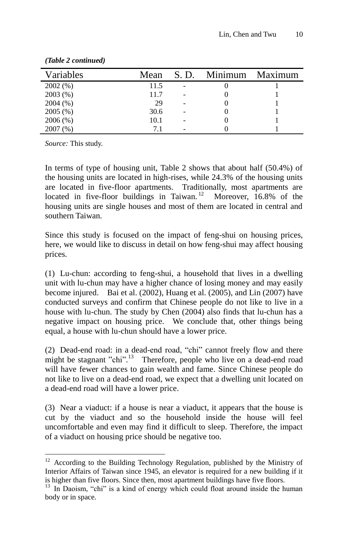| Variables | Mean | S. D. | Minimum | Maximum |
|-----------|------|-------|---------|---------|
| 2002(%)   | 11.5 |       |         |         |
| 2003(%)   | 11.7 |       |         |         |
| 2004(%)   | 29   |       |         |         |
| 2005(%)   | 30.6 |       |         |         |
| 2006(%)   | 10.1 |       |         |         |
| 2007(%)   | 71   |       |         |         |

*(Table 2 continued)*

*Source:* This study.

 $\overline{a}$ 

In terms of type of housing unit, Table 2 shows that about half (50.4%) of the housing units are located in high-rises, while 24.3% of the housing units are located in five-floor apartments. Traditionally, most apartments are located in five-floor buildings in Taiwan.<sup>12</sup> Moreover, 16.8% of the housing units are single houses and most of them are located in central and southern Taiwan.

Since this study is focused on the impact of feng-shui on housing prices, here, we would like to discuss in detail on how feng-shui may affect housing prices.

(1) Lu-chun: according to feng-shui, a household that lives in a dwelling unit with lu-chun may have a higher chance of losing money and may easily become injured. Bai et al. (2002), Huang et al. (2005), and Lin (2007) have conducted surveys and confirm that Chinese people do not like to live in a house with lu-chun. The study by Chen (2004) also finds that lu-chun has a negative impact on housing price. We conclude that, other things being equal, a house with lu-chun should have a lower price.

(2) Dead-end road: in a dead-end road, "chi" cannot freely flow and there might be stagnant "chi".<sup>13</sup> Therefore, people who live on a dead-end road will have fewer chances to gain wealth and fame. Since Chinese people do not like to live on a dead-end road, we expect that a dwelling unit located on a dead-end road will have a lower price.

(3) Near a viaduct: if a house is near a viaduct, it appears that the house is cut by the viaduct and so the household inside the house will feel uncomfortable and even may find it difficult to sleep. Therefore, the impact of a viaduct on housing price should be negative too.

<sup>&</sup>lt;sup>12</sup> According to the Building Technology Regulation, published by the Ministry of Interior Affairs of Taiwan since 1945, an elevator is required for a new building if it is higher than five floors. Since then, most apartment buildings have five floors.

 $13$  In Daoism, "chi" is a kind of energy which could float around inside the human body or in space.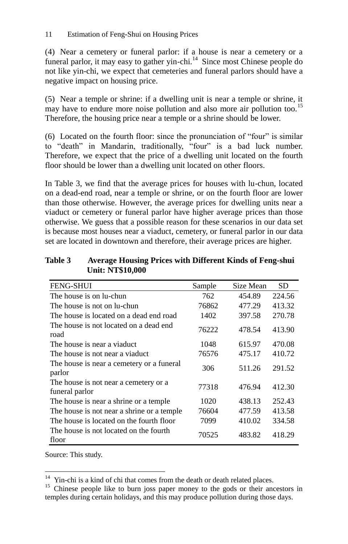(4) Near a cemetery or funeral parlor: if a house is near a cemetery or a funeral parlor, it may easy to gather yin-chi.<sup>14</sup> Since most Chinese people do not like yin-chi, we expect that cemeteries and funeral parlors should have a negative impact on housing price.

(5) Near a temple or shrine: if a dwelling unit is near a temple or shrine, it may have to endure more noise pollution and also more air pollution too.<sup>15</sup> Therefore, the housing price near a temple or a shrine should be lower.

(6) Located on the fourth floor: since the pronunciation of "four" is similar to "death" in Mandarin, traditionally, "four" is a bad luck number. Therefore, we expect that the price of a dwelling unit located on the fourth floor should be lower than a dwelling unit located on other floors.

In Table 3, we find that the average prices for houses with lu-chun, located on a dead-end road, near a temple or shrine, or on the fourth floor are lower than those otherwise. However, the average prices for dwelling units near a viaduct or cemetery or funeral parlor have higher average prices than those otherwise. We guess that a possible reason for these scenarios in our data set is because most houses near a viaduct, cemetery, or funeral parlor in our data set are located in downtown and therefore, their average prices are higher.

| <b>Table 3</b> | <b>Average Housing Prices with Different Kinds of Feng-shui</b> |
|----------------|-----------------------------------------------------------------|
|                | <b>Unit: NT\$10,000</b>                                         |

| <b>FENG-SHUI</b>                                        | Sample | Size Mean | SD     |
|---------------------------------------------------------|--------|-----------|--------|
| The house is on lu-chun                                 | 762    | 454.89    | 224.56 |
| The house is not on lu-chun                             | 76862  | 477.29    | 413.32 |
| The house is located on a dead end road                 | 1402   | 397.58    | 270.78 |
| The house is not located on a dead end.<br>road         | 76222  | 478.54    | 413.90 |
| The house is near a viaduct.                            | 1048   | 615.97    | 470.08 |
| The house is not near a viaduct                         | 76576  | 475.17    | 410.72 |
| The house is near a cemetery or a funeral<br>parlor     | 306    | 511.26    | 291.52 |
| The house is not near a cemetery or a<br>funeral parlor | 77318  | 476.94    | 412.30 |
| The house is near a shrine or a temple.                 | 1020   | 438.13    | 252.43 |
| The house is not near a shrine or a temple.             | 76604  | 477.59    | 413.58 |
| The house is located on the fourth floor                | 7099   | 410.02    | 334.58 |
| The house is not located on the fourth<br>floor         | 70525  | 483.82    | 418.29 |

Source: This study.

 $\overline{a}$  $14$  Yin-chi is a kind of chi that comes from the death or death related places.

<sup>&</sup>lt;sup>15</sup> Chinese people like to burn joss paper money to the gods or their ancestors in temples during certain holidays, and this may produce pollution during those days.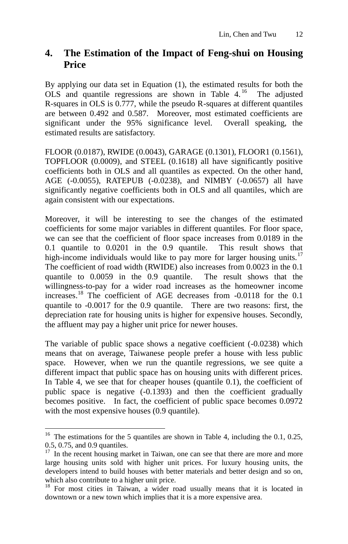## **4. The Estimation of the Impact of Feng-shui on Housing Price**

By applying our data set in Equation (1), the estimated results for both the OLS and quantile regressions are shown in Table  $4.^{16}$  The adjusted R-squares in OLS is 0.777, while the pseudo R-squares at different quantiles are between 0.492 and 0.587. Moreover, most estimated coefficients are significant under the 95% significance level. Overall speaking, the estimated results are satisfactory.

FLOOR (0.0187), RWIDE (0.0043), GARAGE (0.1301), FLOOR1 (0.1561), TOPFLOOR (0.0009), and STEEL (0.1618) all have significantly positive coefficients both in OLS and all quantiles as expected. On the other hand, AGE (-0.0055), RATEPUB (-0.0238), and NIMBY (-0.0657) all have significantly negative coefficients both in OLS and all quantiles, which are again consistent with our expectations.

Moreover, it will be interesting to see the changes of the estimated coefficients for some major variables in different quantiles. For floor space, we can see that the coefficient of floor space increases from 0.0189 in the 0.1 quantile to 0.0201 in the 0.9 quantile. This result shows that high-income individuals would like to pay more for larger housing units.<sup>17</sup> The coefficient of road width (RWIDE) also increases from 0.0023 in the 0.1 quantile to 0.0059 in the 0.9 quantile. The result shows that the willingness-to-pay for a wider road increases as the homeowner income increases. <sup>18</sup> The coefficient of AGE decreases from -0.0118 for the 0.1 quantile to -0.0017 for the 0.9 quantile. There are two reasons: first, the depreciation rate for housing units is higher for expensive houses. Secondly, the affluent may pay a higher unit price for newer houses.

The variable of public space shows a negative coefficient (-0.0238) which means that on average, Taiwanese people prefer a house with less public space. However, when we run the quantile regressions, we see quite a different impact that public space has on housing units with different prices. In Table 4, we see that for cheaper houses (quantile 0.1), the coefficient of public space is negative (-0.1393) and then the coefficient gradually becomes positive. In fact, the coefficient of public space becomes 0.0972 with the most expensive houses (0.9 quantile).

 $\overline{a}$ 

<sup>&</sup>lt;sup>16</sup> The estimations for the 5 quantiles are shown in Table 4, including the 0.1, 0.25, 0.5, 0.75, and 0.9 quantiles.

<sup>&</sup>lt;sup>17</sup> In the recent housing market in Taiwan, one can see that there are more and more large housing units sold with higher unit prices. For luxury housing units, the developers intend to build houses with better materials and better design and so on, which also contribute to a higher unit price.

<sup>&</sup>lt;sup>18</sup> For most cities in Taiwan, a wider road usually means that it is located in downtown or a new town which implies that it is a more expensive area.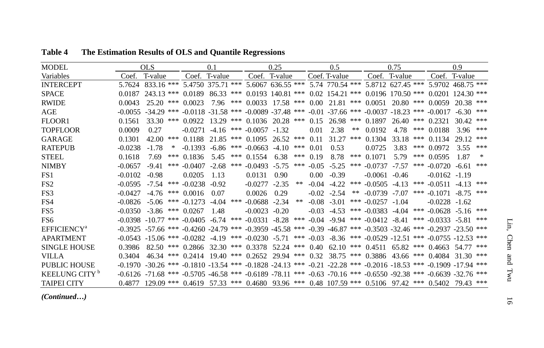| <b>MODEL</b>                   |           | OLS                                                                                                                                                 |                                             | 0.1     |                         | 0.25          |    |          | 0.5             |    |                     | 0.75          |     |                                                                            | 0.9           |     |
|--------------------------------|-----------|-----------------------------------------------------------------------------------------------------------------------------------------------------|---------------------------------------------|---------|-------------------------|---------------|----|----------|-----------------|----|---------------------|---------------|-----|----------------------------------------------------------------------------|---------------|-----|
| Variables                      | Coef      | T-value                                                                                                                                             | Coef. T-value                               |         |                         | Coef. T-value |    |          | Coef. T-value   |    |                     | Coef. T-value |     |                                                                            | Coef. T-value |     |
| <b>INTERCEPT</b>               |           | 5.7624 833.16 *** 5.4750 375.71 *** 5.6067 636.55 *** 5.74 770.54 *** 5.8712 627.45 *** 5.9702 468.75 ***                                           |                                             |         |                         |               |    |          |                 |    |                     |               |     |                                                                            |               |     |
| <b>SPACE</b>                   |           | $0.0187$ 243.13 *** $0.0189$ 86.33 *** $0.0193$ 140.81 *** $0.02$ 154.21 *** 0.0196 170.50 *** 0.0201 124.30 ***                                    |                                             |         |                         |               |    |          |                 |    |                     |               |     |                                                                            |               |     |
| <b>RWIDE</b>                   | 0.0043    | $25.20$ *** 0.0023                                                                                                                                  |                                             |         |                         |               |    |          |                 |    |                     |               |     | 7.96 *** 0.0033 17.58 *** 0.00 21.81 *** 0.0051 20.80 *** 0.0059 20.38 *** |               |     |
| AGE                            |           | $-0.0055$ $-34.29$ *** $-0.0118$ $-31.58$ *** $-0.0089$ $-37.48$ *** $-0.01$ $-37.66$ *** $-0.0037$ $-18.23$ *** $-0.0017$                          |                                             |         |                         |               |    |          |                 |    |                     |               |     |                                                                            | $-6.30$       | *** |
| FLOOR1                         | 0.1561    | 33.30 *** 0.0922 13.29 *** 0.1036 20.28 *** 0.15 26.98 *** 0.1897 26.40                                                                             |                                             |         |                         |               |    |          |                 |    |                     |               |     | $***$ 0.2321                                                               | 30.42         | *** |
| <b>TOPFLOOR</b>                | 0.0009    | 0.27                                                                                                                                                | $-0.0271$ $-4.16$ *** $-0.0057$ $-1.32$     |         |                         |               |    | 0.01     | 2.38            | ** | 0.0192              | 4.78          |     | $*** 0.0188$                                                               | 3.96          | *** |
| GARAGE                         | 0.1301    | ***<br>42.00                                                                                                                                        | $0.1188$ 21.85 *** $0.1095$ 26.52 ***       |         |                         |               |    | 0.11     | 31.27           |    | *** $0.1304$        |               |     | $33.18$ *** 0.1134                                                         | 29.12         | *** |
| <b>RATEPUB</b>                 | $-0.0238$ | $-1.78$<br>∗                                                                                                                                        | $-0.1393$ $-6.86$ *** $-0.0663$ $-4.10$ *** |         |                         |               |    | 0.01     | 0.53            |    | 0.0725              | 3.83          | *** | 0.0972                                                                     | 3.55          | *** |
| <b>STEEL</b>                   | 0.1618    | 7.69                                                                                                                                                | *** $0.1836$ 5.45                           |         | *** $0.1554$ 6.38 ***   |               |    | 0.19     | 8.78            |    | *** $0.1071$        | 5.79          | *** | 0.0595                                                                     | 1.87          | ∗   |
| <b>NIMBY</b>                   | $-0.0657$ | $-9.41$                                                                                                                                             | *** $-0.0407 -2.68$                         |         | *** $-0.0493 -5.75$ *** |               |    |          | $-0.05 - 5.25$  |    | *** $-0.0737$       | $-7.57$       | *** | $-0.0720$                                                                  | -6.61         | *** |
| FS1                            | $-0.0102$ | $-0.98$                                                                                                                                             | 0.0205                                      | 1.13    | 0.0131                  | 0.90          |    | $0.00 -$ | $-0.39$         |    | $-0.0061 - 0.46$    |               |     | $-0.0162 - 1.19$                                                           |               |     |
| FS <sub>2</sub>                | $-0.0595$ | $-7.54$                                                                                                                                             | *** $-0.0238 - 0.92$                        |         | $-0.0277 - 2.35$        |               | ** |          | $-0.04$ $-4.22$ |    |                     |               |     | *** $-0.0505 -4.13$ *** $-0.0511 -4.13$                                    |               | *** |
| FS3                            | $-0.0427$ | $-4.76$ *** 0.0016                                                                                                                                  |                                             | 0.07    | 0.0026                  | 0.29          |    |          | $-0.02 -2.54$   |    |                     |               |     | ** $-0.0739$ $-7.07$ *** $-0.1071$ $-8.75$                                 |               | *** |
| FS4                            | $-0.0826$ | $-5.06$                                                                                                                                             | *** $-0.1273$                               | $-4.04$ | $*** -0.0688 -2.34$     |               | ** |          | $-0.08$ $-3.01$ |    | *** $-0.0257 -1.04$ |               |     | $-0.0228 - 1.62$                                                           |               |     |
| FS <sub>5</sub>                |           | $-0.0350 - 3.86$ *** 0.0267                                                                                                                         |                                             | 1.48    | $-0.0023$               | $-0.20$       |    |          | $-0.03 - 4.53$  |    |                     |               |     | *** $-0.0383 -4.04$ *** $-0.0628$ $-5.16$                                  |               | *** |
| FS6                            |           | $-0.0398$ $-10.77$ *** $-0.0405$ $-6.74$ *** $-0.0331$ $-8.28$ *** $-0.04$ $-9.94$ *** $-0.0412$ $-8.41$                                            |                                             |         |                         |               |    |          |                 |    |                     |               |     | $*** -0.0333 -5.81$                                                        |               | *** |
| <b>EFFICIENCY</b> <sup>a</sup> |           | $-0.3925$ $-57.66$ $***$ $-0.4260$ $-24.79$ $***$ $-0.3959$ $-45.58$ $***$ $-0.39$ $-46.87$ $***$ $-0.3503$ $-32.46$ $***$ $-0.2937$ $-23.50$ $***$ |                                             |         |                         |               |    |          |                 |    |                     |               |     |                                                                            |               |     |
| <b>APARTMENT</b>               |           | $-0.0543$ $-15.06$ *** $-0.0282$ $-4.19$ *** $-0.0230$ $-5.71$ *** $-0.03$ $-8.36$ *** $-0.0529$ $-12.51$ *** $-0.0755$ $-12.53$ ***                |                                             |         |                         |               |    |          |                 |    |                     |               |     |                                                                            |               |     |
| <b>SINGLE HOUSE</b>            | 0.3986    | 82.50 *** 0.2866 32.30 *** 0.3378 52.24 *** 0.40 62.10 *** 0.4511 65.82 *** 0.4663 54.77 ***                                                        |                                             |         |                         |               |    |          |                 |    |                     |               |     |                                                                            |               |     |
| VILLA                          | 0.3404    | 46.34 *** 0.2414 19.40 *** 0.2652 29.94 *** 0.32 38.75 *** 0.3886 43.66 *** 0.4084                                                                  |                                             |         |                         |               |    |          |                 |    |                     |               |     |                                                                            | 31.30         | *** |
| PUBLIC HOUSE                   |           | $-0.1970$ $-30.26$ *** $-0.1810$ $-13.54$ *** $-0.1828$ $-24.13$ *** $-0.21$ $-22.28$ *** $-0.2016$ $-18.53$ *** $-0.1909$ $-17.94$ ***             |                                             |         |                         |               |    |          |                 |    |                     |               |     |                                                                            |               |     |
| KEELUNG CITY <sup>b</sup>      |           | $-0.6126 - 71.68$ *** $-0.5705 - 46.58$ *** $-0.6189 - 78.11$ *** $-0.63$ $-70.16$ *** $-0.6550 - 92.38$ *** $-0.6639 - 32.76$ ***                  |                                             |         |                         |               |    |          |                 |    |                     |               |     |                                                                            |               |     |
| <b>TAIPEI CITY</b>             | 0.4877    | $129.09$ *** $0.4619$ 57.33 *** $0.4680$ 93.96 *** $0.48$ 107.59 *** $0.5106$ 97.42 *** $0.5402$                                                    |                                             |         |                         |               |    |          |                 |    |                     |               |     |                                                                            | 79.43         | *** |

**Table 4 The Estimation Results of OLS and Quantile Regressions**

*(Continued…)*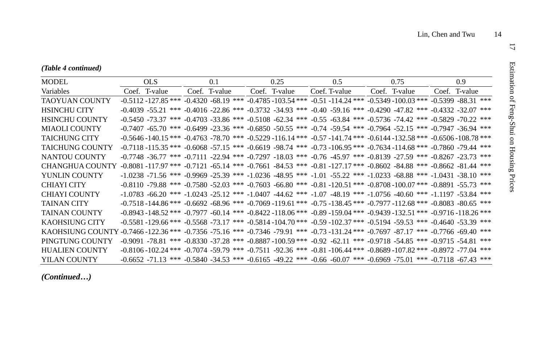| MODEL                                                                                                                              | OLS.          | 0.1           | 0.25          | $0.5^{\circ}$ | 0.75                                                                                                                                        | 0.9 <sup>°</sup> |
|------------------------------------------------------------------------------------------------------------------------------------|---------------|---------------|---------------|---------------|---------------------------------------------------------------------------------------------------------------------------------------------|------------------|
| Variables                                                                                                                          | Coef. T-value | Coef. T-value | Coef. T-value | Coef. T-value | Coef. T-value                                                                                                                               | Coef. T-value    |
| <b>TAOYUAN COUNTY</b>                                                                                                              |               |               |               |               | $-0.5112 - 127.85$ *** $-0.4320 - 68.19$ *** $-0.4785 - 103.54$ *** $-0.51 - 114.24$ *** $-0.5349 - 100.03$ *** $-0.5399 - 88.31$ ***       |                  |
| <b>HSINCHU CITY</b>                                                                                                                |               |               |               |               | $-0.4039 - 55.21$ *** $-0.4016 - 22.86$ *** $-0.3732$ $-34.93$ *** $-0.40$ $-59.16$ *** $-0.4290$ $-47.82$ *** $-0.4332$ $-32.07$ ***       |                  |
| <b>HSINCHU COUNTY</b>                                                                                                              |               |               |               |               | $-0.5450 - 73.37$ *** $-0.4703 - 33.86$ *** $-0.5108$ $-62.34$ *** $-0.55$ $-63.84$ *** $-0.5736$ $-74.42$ *** $-0.5829$ $-70.22$ ***       |                  |
| MIAOLI COUNTY                                                                                                                      |               |               |               |               | $-0.7407$ $-65.70$ *** $-0.6499$ $-23.36$ *** $-0.6850$ $-50.55$ *** $-0.74$ $-59.54$ *** $-0.7964$ $-52.15$ *** $-0.7947$ $-36.94$ ***     |                  |
| <b>TAICHUNG CITY</b>                                                                                                               |               |               |               |               | $-0.5646 - 140.15$ *** $-0.4763$ $-78.70$ *** $-0.5229$ $-116.14$ *** $-0.57$ $-141.74$ *** $-0.6144$ $-132.58$ *** $-0.6506$ $-108.78$ *** |                  |
| <b>TAICHUNG COUNTY</b>                                                                                                             |               |               |               |               | $-0.7118 - 115.35$ *** $-0.6068 - 57.15$ *** $-0.6619 - 98.74$ *** $-0.73 - 106.95$ *** $-0.7634 - 114.68$ *** $-0.7860 - 79.44$ ***        |                  |
| NANTOU COUNTY                                                                                                                      |               |               |               |               | -0.7748 -36.77 *** -0.7111 -22.94 *** -0.7297 -18.03 *** -0.76 -45.97 *** -0.8139 -27.59 *** -0.8267 -23.73 ***                             |                  |
| CHANGHUA COUNTY                                                                                                                    |               |               |               |               | $-0.8081 - 117.97$ *** $-0.7121$ $-65.14$ *** $-0.7661$ $-84.53$ *** $-0.81$ $-127.17$ *** $-0.8602$ $-84.88$ *** $-0.8662$ $-81.44$ ***    |                  |
| YUNLIN COUNTY                                                                                                                      |               |               |               |               | $-1.0238$ $-71.56$ *** $-0.9969$ $-25.39$ *** $-1.0236$ $-48.95$ *** $-1.01$ $-55.22$ *** $-1.0233$ $-68.88$ *** $-1.0431$ $-38.10$ ***     |                  |
| CHIAYI CITY                                                                                                                        |               |               |               |               | $-0.8110 - 79.88$ *** $-0.7580 - 52.03$ *** $-0.7603$ $-66.80$ *** $-0.81$ $-120.51$ *** $-0.8708 - 100.07$ *** $-0.8891$ $-55.73$ ***      |                  |
| <b>CHIAYI COUNTY</b>                                                                                                               |               |               |               |               | $-1.0783 - 66.20$ *** $-1.0243$ $-25.12$ *** $-1.0407$ $-44.62$ *** $-1.07$ $-48.19$ *** $-1.0756$ $-40.60$ *** $-1.1197$ $-53.84$ ***      |                  |
| <b>TAINAN CITY</b>                                                                                                                 |               |               |               |               | $-0.7518 - 144.86$ *** $-0.6692$ $-68.96$ *** $-0.7069 - 119.61$ *** $-0.75$ $-138.45$ *** $-0.7977$ $-112.68$ *** $-0.8083$ $-80.65$ ***   |                  |
| <b>TAINAN COUNTY</b>                                                                                                               |               |               |               |               | $-0.8943 - 148.52$ *** $-0.7977$ $-60.14$ *** $-0.8422 - 118.06$ *** $-0.89 - 159.04$ *** $-0.9439 - 132.51$ *** $-0.9716 - 118.26$ ***     |                  |
| KAOHSIUNG CITY                                                                                                                     |               |               |               |               | $-0.5581 - 129.66$ *** $-0.5568 - 73.17$ *** $-0.5814 - 104.70$ *** $-0.59 - 102.37$ *** $-0.5194$ $-59.53$ *** $-0.4640$ $-53.39$ ***      |                  |
| KAOHSIUNG COUNTY -0.7466 -122.36 *** -0.7356 -75.16 *** -0.7346 -79.91 *** -0.73 -131.24 *** -0.7697 -87.17 *** -0.7766 -69.40 *** |               |               |               |               |                                                                                                                                             |                  |
| PINGTUNG COUNTY                                                                                                                    |               |               |               |               | $-0.9091$ $-78.81$ *** $-0.8330$ $-37.28$ *** $-0.8887$ $-100.59$ *** $-0.92$ $-62.11$ *** $-0.9718$ $-54.85$ *** $-0.9715$ $-54.81$ ***    |                  |
| <b>HUALIEN COUNTY</b>                                                                                                              |               |               |               |               | $-0.8106 - 102.24$ *** $-0.7074$ $-59.79$ *** $-0.7511$ $-92.36$ *** $-0.81$ $-106.44$ *** $-0.8689$ $-107.82$ *** $-0.8972$ $-77.04$ ***   |                  |
| YILAN COUNTY                                                                                                                       |               |               |               |               | $-0.6652$ $-71.13$ *** $-0.5840$ $-34.53$ *** $-0.6165$ $-49.22$ *** $-0.66$ $-60.07$ *** $-0.6969$ $-75.01$ *** $-0.7118$ $-67.43$ ***     |                  |

*(Continued…)*

 $\overline{\mathcal{L}}$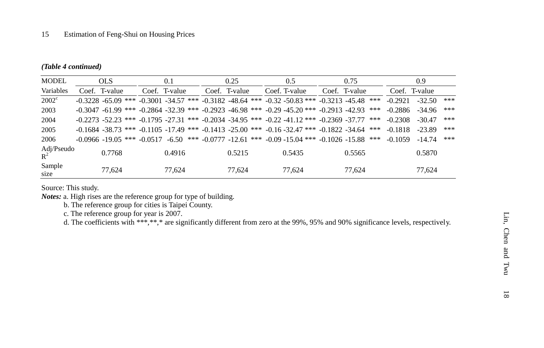#### *(Table 4 continued)*

| <b>MODEL</b>        | <b>OLS</b>    | 0.1           | 0.25          | 0.5                                                                                                          | 0.75                                                                                                             |               | 0.9      |     |
|---------------------|---------------|---------------|---------------|--------------------------------------------------------------------------------------------------------------|------------------------------------------------------------------------------------------------------------------|---------------|----------|-----|
| Variables           | Coef. T-value | Coef. T-value | Coef. T-value | Coef. T-value                                                                                                | Coef. T-value                                                                                                    | Coef. T-value |          |     |
| $2002^{\circ}$      |               |               |               |                                                                                                              | $-0.3228$ $-65.09$ *** $-0.3001$ $-34.57$ *** $-0.3182$ $-48.64$ *** $-0.32$ $-50.83$ *** $-0.3213$ $-45.48$ *** | $-0.2921$     | $-32.50$ | *** |
| 2003                |               |               |               |                                                                                                              | $-0.3047$ $-61.99$ *** $-0.2864$ $-32.39$ *** $-0.2923$ $-46.98$ *** $-0.29$ $-45.20$ *** $-0.2913$ $-42.93$ *** | $-0.2886$     | $-34.96$ | *** |
| 2004                |               |               |               | $-0.2273$ $-52.23$ *** $-0.1795$ $-27.31$ *** $-0.2034$ $-34.95$ *** $-0.22$ $-41.12$ *** $-0.2369$ $-37.77$ | ***                                                                                                              | $-0.2308$     | $-30.47$ | *** |
| 2005                |               |               |               | $-0.1684 - 38.73$ *** $-0.1105 - 17.49$ *** $-0.1413 - 25.00$ *** $-0.16 - 32.47$ *** $-0.1822 - 34.64$      | ***                                                                                                              | $-0.1818$     | $-23.89$ | *** |
| 2006                |               |               |               |                                                                                                              | $-0.0966 - 19.05$ *** $-0.0517$ $-6.50$ *** $-0.0777$ $-12.61$ *** $-0.09$ $-15.04$ *** $-0.1026$ $-15.88$ ***   | $-0.1059$     | $-14.74$ | *** |
| Adj/Pseudo<br>$R^2$ | 0.7768        | 0.4916        | 0.5215        | 0.5435                                                                                                       | 0.5565                                                                                                           |               | 0.5870   |     |
| Sample<br>size      | 77.624        | 77,624        | 77.624        | 77.624                                                                                                       | 77.624                                                                                                           |               | 77.624   |     |

Source: This study.

*Notes:* a. High rises are the reference group for type of building.

b. The reference group for cities is Taipei County.

c. The reference group for year is 2007.

d. The coefficients with \*\*\*,\*\*,\* are significantly different from zero at the 99%, 95% and 90% significance levels, respectively.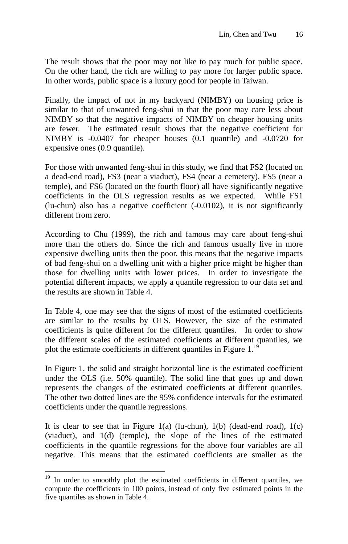The result shows that the poor may not like to pay much for public space. On the other hand, the rich are willing to pay more for larger public space. In other words, public space is a luxury good for people in Taiwan.

Finally, the impact of not in my backyard (NIMBY) on housing price is similar to that of unwanted feng-shui in that the poor may care less about NIMBY so that the negative impacts of NIMBY on cheaper housing units are fewer. The estimated result shows that the negative coefficient for NIMBY is -0.0407 for cheaper houses (0.1 quantile) and -0.0720 for expensive ones (0.9 quantile).

For those with unwanted feng-shui in this study, we find that FS2 (located on a dead-end road), FS3 (near a viaduct), FS4 (near a cemetery), FS5 (near a temple), and FS6 (located on the fourth floor) all have significantly negative coefficients in the OLS regression results as we expected. While FS1 (lu-chun) also has a negative coefficient (-0.0102), it is not significantly different from zero.

According to Chu (1999), the rich and famous may care about feng-shui more than the others do. Since the rich and famous usually live in more expensive dwelling units then the poor, this means that the negative impacts of bad feng-shui on a dwelling unit with a higher price might be higher than those for dwelling units with lower prices. In order to investigate the potential different impacts, we apply a quantile regression to our data set and the results are shown in Table 4.

In Table 4, one may see that the signs of most of the estimated coefficients are similar to the results by OLS. However, the size of the estimated coefficients is quite different for the different quantiles. In order to show the different scales of the estimated coefficients at different quantiles, we plot the estimate coefficients in different quantiles in Figure  $1.^{19}$ .

In Figure 1, the solid and straight horizontal line is the estimated coefficient under the OLS (i.e. 50% quantile). The solid line that goes up and down represents the changes of the estimated coefficients at different quantiles. The other two dotted lines are the 95% confidence intervals for the estimated coefficients under the quantile regressions.

It is clear to see that in Figure  $1(a)$  (lu-chun),  $1(b)$  (dead-end road),  $1(c)$ (viaduct), and 1(d) (temple), the slope of the lines of the estimated coefficients in the quantile regressions for the above four variables are all negative. This means that the estimated coefficients are smaller as the

 $\overline{a}$ 

 $19$  In order to smoothly plot the estimated coefficients in different quantiles, we compute the coefficients in 100 points, instead of only five estimated points in the five quantiles as shown in Table 4.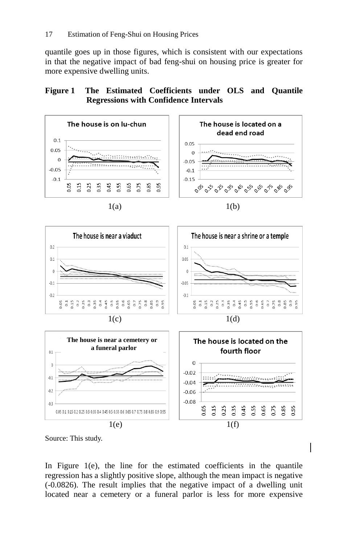quantile goes up in those figures, which is consistent with our expectations in that the negative impact of bad feng-shui on housing price is greater for more expensive dwelling units.

### **Figure 1 The Estimated Coefficients under OLS and Quantile Regressions with Confidence Intervals**



Source: This study.

In Figure 1(e), the line for the estimated coefficients in the quantile regression has a slightly positive slope, although the mean impact is negative (-0.0826). The result implies that the negative impact of a dwelling unit located near a cemetery or a funeral parlor is less for more expensive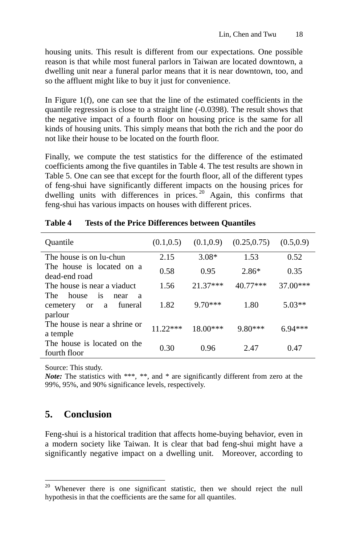housing units. This result is different from our expectations. One possible reason is that while most funeral parlors in Taiwan are located downtown, a dwelling unit near a funeral parlor means that it is near downtown, too, and so the affluent might like to buy it just for convenience.

In Figure 1(f), one can see that the line of the estimated coefficients in the quantile regression is close to a straight line (-0.0398). The result shows that the negative impact of a fourth floor on housing price is the same for all kinds of housing units. This simply means that both the rich and the poor do not like their house to be located on the fourth floor.

Finally, we compute the test statistics for the difference of the estimated coefficients among the five quantiles in Table 4. The test results are shown in Table 5. One can see that except for the fourth floor, all of the different types of feng-shui have significantly different impacts on the housing prices for dwelling units with differences in prices. <sup>20</sup> Again, this confirms that feng-shui has various impacts on houses with different prices.

| Quantile                                                                     | (0.1, 0.5) | (0.1, 0.9) | (0.25, 0.75) | (0.5, 0.9) |
|------------------------------------------------------------------------------|------------|------------|--------------|------------|
| The house is on lu-chun                                                      | 2.15       | $3.08*$    | 1.53         | 0.52       |
| The house is located on a<br>dead-end road                                   | 0.58       | 0.95       | $2.86*$      | 0.35       |
| The house is near a viaduct.                                                 | 1.56       | $21.37***$ | $40.77***$   | $37.00***$ |
| The<br>house<br>is<br>near<br>a<br>funeral<br>cemetery<br>a<br>or<br>parlour | 1.82       | $9.70***$  | 1.80         | $5.03**$   |
| The house is near a shrine or<br>a temple                                    | $11.22***$ | $18.00***$ | $9.80***$    | $6.94***$  |
| The house is located on the<br>fourth floor                                  | 0.30       | 0.96       | 2.47         | 0.47       |

#### **Table 4 Tests of the Price Differences between Quantiles**

Source: This study.

*Note:* The statistics with \*\*\*, \*\*, and \* are significantly different from zero at the 99%, 95%, and 90% significance levels, respectively.

## **5. Conclusion**

 $\overline{a}$ 

Feng-shui is a historical tradition that affects home-buying behavior, even in a modern society like Taiwan. It is clear that bad feng-shui might have a significantly negative impact on a dwelling unit. Moreover, according to

 $20$  Whenever there is one significant statistic, then we should reject the null hypothesis in that the coefficients are the same for all quantiles.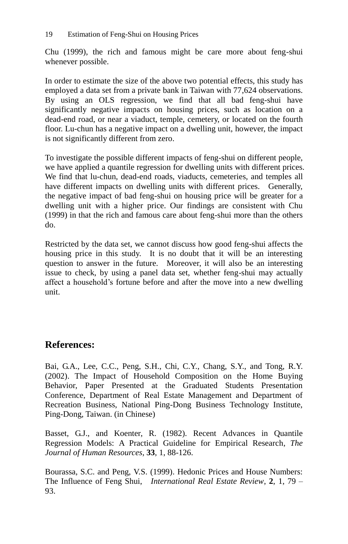Chu (1999), the rich and famous might be care more about feng-shui whenever possible.

In order to estimate the size of the above two potential effects, this study has employed a data set from a private bank in Taiwan with 77,624 observations. By using an OLS regression, we find that all bad feng-shui have significantly negative impacts on housing prices, such as location on a dead-end road, or near a viaduct, temple, cemetery, or located on the fourth floor. Lu-chun has a negative impact on a dwelling unit, however, the impact is not significantly different from zero.

To investigate the possible different impacts of feng-shui on different people, we have applied a quantile regression for dwelling units with different prices. We find that lu-chun, dead-end roads, viaducts, cemeteries, and temples all have different impacts on dwelling units with different prices. Generally, the negative impact of bad feng-shui on housing price will be greater for a dwelling unit with a higher price. Our findings are consistent with Chu (1999) in that the rich and famous care about feng-shui more than the others do.

Restricted by the data set, we cannot discuss how good feng-shui affects the housing price in this study. It is no doubt that it will be an interesting question to answer in the future. Moreover, it will also be an interesting issue to check, by using a panel data set, whether feng-shui may actually affect a household's fortune before and after the move into a new dwelling unit.

## **References:**

Bai, G.A., Lee, C.C., Peng, S.H., Chi, C.Y., Chang, S.Y., and Tong, R.Y. (2002). The Impact of Household Composition on the Home Buying Behavior, Paper Presented at the Graduated Students Presentation Conference, Department of Real Estate Management and Department of Recreation Business, National Ping-Dong Business Technology Institute, Ping-Dong, Taiwan. (in Chinese)

Basset, G.J., and Koenter, R. (1982). Recent Advances in Quantile Regression Models: A Practical Guideline for Empirical Research, *The Journal of Human Resources*, **33**, 1, 88-126.

Bourassa, S.C. and Peng, V.S. (1999). Hedonic Prices and House Numbers: The Influence of Feng Shui, *International Real Estate Review*, **2**, 1, 79 – 93.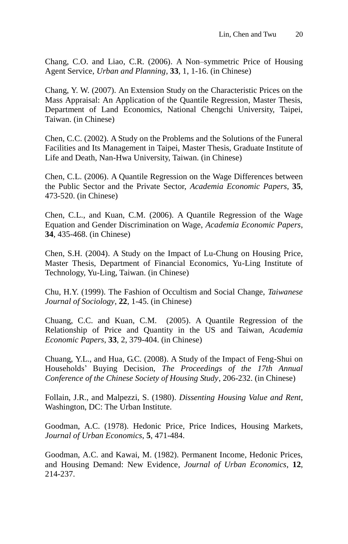Chang, C.O. and Liao, C.R. (2006). A Non–symmetric Price of Housing Agent Service, *Urban and Planning*, **33**, 1, 1-16. (in Chinese)

Chang, Y. W. (2007). An Extension Study on the Characteristic Prices on the Mass Appraisal: An Application of the Quantile Regression, Master Thesis, Department of Land Economics, National Chengchi University, Taipei, Taiwan. (in Chinese)

Chen, C.C. (2002). A Study on the Problems and the Solutions of the Funeral Facilities and Its Management in Taipei, Master Thesis, Graduate Institute of Life and Death, Nan-Hwa University, Taiwan. (in Chinese)

Chen, C.L. (2006). A Quantile Regression on the Wage Differences between the Public Sector and the Private Sector, *Academia Economic Papers*, **35**, 473-520. (in Chinese)

Chen, C.L., and Kuan, C.M. (2006). A Quantile Regression of the Wage Equation and Gender Discrimination on Wage, *Academia Economic Papers*, **34**, 435-468. (in Chinese)

Chen, S.H. (2004). A Study on the Impact of Lu-Chung on Housing Price, Master Thesis, Department of Financial Economics, Yu-Ling Institute of Technology, Yu-Ling, Taiwan. (in Chinese)

Chu, H.Y. (1999). The Fashion of Occultism and Social Change, *Taiwanese Journal of Sociology*, **22**, 1-45. (in Chinese)

Chuang, C.C. and Kuan, C.M. (2005). A Quantile Regression of the Relationship of Price and Quantity in the US and Taiwan, *Academia Economic Papers*, **33**, 2, 379-404. (in Chinese)

Chuang, Y.L., and Hua, G.C. (2008). A Study of the Impact of Feng-Shui on Households' Buying Decision, *The Proceedings of the 17th Annual Conference of the Chinese Society of Housing Study*, 206-232. (in Chinese)

Follain, J.R., and Malpezzi, S. (1980). *Dissenting Housing Value and Rent*, Washington, DC: The Urban Institute.

Goodman, A.C. (1978). Hedonic Price, Price Indices, Housing Markets, *Journal of Urban Economics*, **5**, 471-484.

Goodman, A.C. and Kawai, M. (1982). Permanent Income, Hedonic Prices, and Housing Demand: New Evidence, *Journal of Urban Economics*, **12**, 214-237.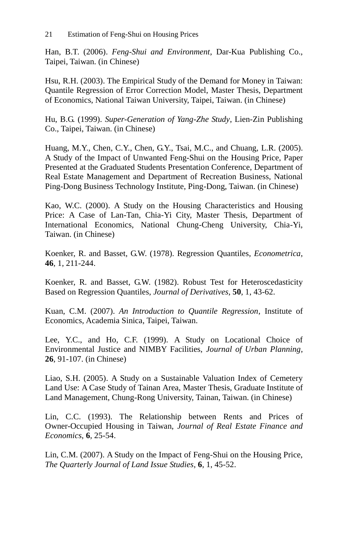Han, B.T. (2006). *Feng-Shui and Environment*, Dar-Kua Publishing Co., Taipei, Taiwan. (in Chinese)

Hsu, R.H. (2003). The Empirical Study of the Demand for Money in Taiwan: Quantile Regression of Error Correction Model, Master Thesis, Department of Economics, National Taiwan University, Taipei, Taiwan. (in Chinese)

Hu, B.G. (1999). *Super-Generation of Yang-Zhe Study*, Lien-Zin Publishing Co., Taipei, Taiwan. (in Chinese)

Huang, M.Y., Chen, C.Y., Chen, G.Y., Tsai, M.C., and Chuang, L.R. (2005). A Study of the Impact of Unwanted Feng-Shui on the Housing Price, Paper Presented at the Graduated Students Presentation Conference, Department of Real Estate Management and Department of Recreation Business, National Ping-Dong Business Technology Institute, Ping-Dong, Taiwan. (in Chinese)

Kao, W.C. (2000). A Study on the Housing Characteristics and Housing Price: A Case of Lan-Tan, Chia-Yi City, Master Thesis, Department of International Economics, National Chung-Cheng University, Chia-Yi, Taiwan. (in Chinese)

Koenker, R. and Basset, G.W. (1978). Regression Quantiles, *Econometrica*, **46**, 1, 211-244.

Koenker, R. and Basset, G.W. (1982). Robust Test for Heteroscedasticity Based on Regression Quantiles, *Journal of Derivatives*, **50**, 1, 43-62.

Kuan, C.M. (2007). *An Introduction to Quantile Regression*, Institute of Economics, Academia Sinica, Taipei, Taiwan.

Lee, Y.C., and Ho, C.F. (1999). A Study on Locational Choice of Environmental Justice and NIMBY Facilities, *Journal of Urban Planning*, **26**, 91-107. (in Chinese)

Liao, S.H. (2005). A Study on a Sustainable Valuation Index of Cemetery Land Use: A Case Study of Tainan Area, Master Thesis, Graduate Institute of Land Management, Chung-Rong University, Tainan, Taiwan. (in Chinese)

Lin, C.C. (1993). The Relationship between Rents and Prices of Owner-Occupied Housing in Taiwan, *Journal of Real Estate Finance and Economics*, **6**, 25-54.

Lin, C.M. (2007). A Study on the Impact of Feng-Shui on the Housing Price, *The Quarterly Journal of Land Issue Studies*, **6**, 1, 45-52.